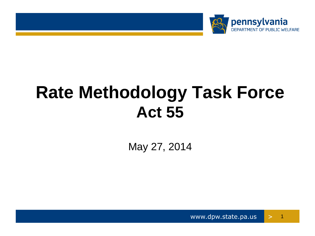

## **Rate Methodology Task Force Act 55**

May 27, 2014

 $\geq$ www.dpw.state.pa.us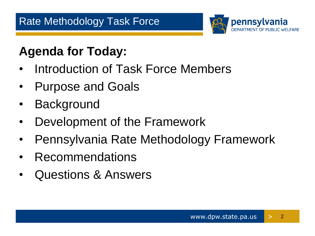

#### **Agenda for Today:**

- Introduction of Task Force Members
- Purpose and Goals
- **Background**
- Development of the Framework
- Pennsylvania Rate Methodology Framework
- Recommendations
- Questions & Answers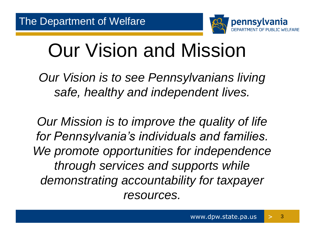

# Our Vision and Mission

*Our Vision is to see Pennsylvanians living safe, healthy and independent lives.*

*Our Mission is to improve the quality of life for Pennsylvania's individuals and families. We promote opportunities for independence through services and supports while demonstrating accountability for taxpayer resources.*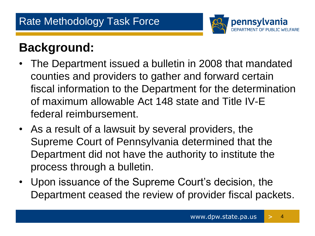

#### **Background:**

- of maximum allowable Act 148 state and Title IV-E The Department issued a bulletin in 2008 that mandated counties and providers to gather and forward certain fiscal information to the Department for the determination federal reimbursement.
- Department did not have the authority to institute the process through a bulletin. • As a result of a lawsuit by several providers, the Supreme Court of Pennsylvania determined that the
- • Upon issuance of the Supreme Court's decision, the Department ceased the review of provider fiscal packets.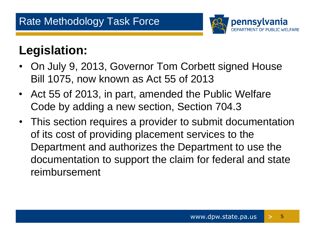

## **Legislation:**

- Bill 1075, now known as Act 55 of 2013 • On July 9, 2013, Governor Tom Corbett signed House
- Code by adding a new section, Section 704.3 • Act 55 of 2013, in part, amended the Public Welfare
- This section requires a provider to submit documentation of its cost of providing placement services to the Department and authorizes the Department to use the documentation to support the claim for federal and state reimbursement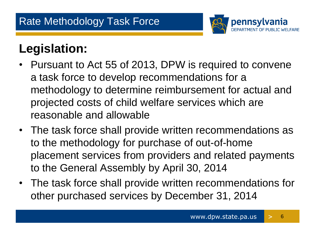

#### **Legislation:**

- • Pursuant to Act 55 of 2013, DPW is required to convene a task force to develop recommendations for a methodology to determine reimbursement for actual and projected costs of child welfare services which are reasonable and allowable
- to the General Assembly by April 30, 2014 • The task force shall provide written recommendations as to the methodology for purchase of out-of-home placement services from providers and related payments
- The task force shall provide written recommendations for other purchased services by December 31, 2014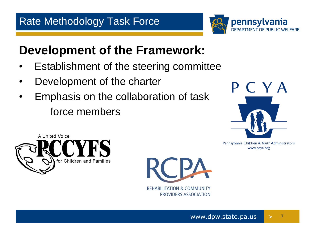

#### **Development of the Framework:**

- Establishment of the steering committee
- Development of the charter
- Emphasis on the collaboration of task force members





Pennsylvania Children & Youth Administrators www.pcya.org



**REHABILITATION & COMMUNITY** 

**PROVIDERS ASSOCIATION**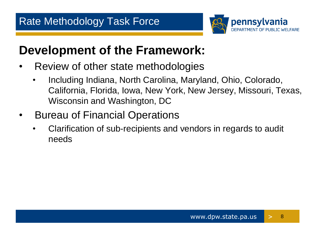

#### **Development of the Framework:**

- Review of other state methodologies
	- Including Indiana, North Carolina, Maryland, Ohio, Colorado, California, Florida, Iowa, New York, New Jersey, Missouri, Texas, Wisconsin and Washington, DC
- Bureau of Financial Operations
	- • Clarification of sub-recipients and vendors in regards to audit needs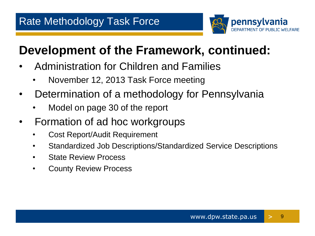

#### **Development of the Framework, continued:**

- Administration for Children and Families
	- November 12, 2013 Task Force meeting
- Determination of a methodology for Pennsylvania
	- Model on page 30 of the report
- Formation of ad hoc workgroups
	- Cost Report/Audit Requirement
	- Standardized Job Descriptions/Standardized Service Descriptions
	- State Review Process
	- County Review Process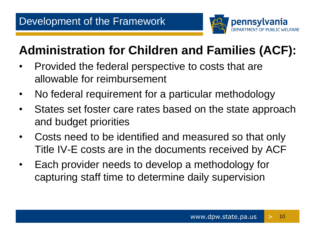

#### **Administration for Children and Families (ACF):**

- • Provided the federal perspective to costs that are allowable for reimbursement
- No federal requirement for a particular methodology
- • States set foster care rates based on the state approach and budget priorities
- • Costs need to be identified and measured so that only Title IV-E costs are in the documents received by ACF
- Each provider needs to develop a methodology for capturing staff time to determine daily supervision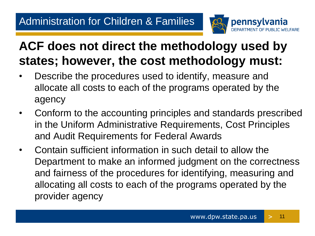

#### **ACF does not direct the methodology used by states; however, the cost methodology must:**

- Describe the procedures used to identify, measure and allocate all costs to each of the programs operated by the agency
- • Conform to the accounting principles and standards prescribed in the Uniform Administrative Requirements, Cost Principles and Audit Requirements for Federal Awards
- Contain sufficient information in such detail to allow the Department to make an informed judgment on the correctness and fairness of the procedures for identifying, measuring and allocating all costs to each of the programs operated by the provider agency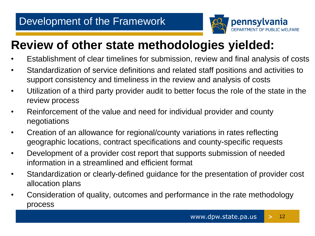

#### **Review of other state methodologies yielded:**

- Establishment of clear timelines for submission, review and final analysis of costs
- Standardization of service definitions and related staff positions and activities to support consistency and timeliness in the review and analysis of costs
- Utilization of a third party provider audit to better focus the role of the state in the review process
- Reinforcement of the value and need for individual provider and county negotiations
- Creation of an allowance for regional/county variations in rates reflecting geographic locations, contract specifications and county-specific requests
- Development of a provider cost report that supports submission of needed information in a streamlined and efficient format
- Standardization or clearly-defined guidance for the presentation of provider cost allocation plans
- Consideration of quality, outcomes and performance in the rate methodology process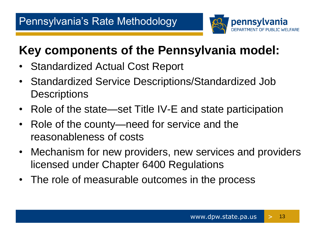

#### **Key components of the Pennsylvania model:**

- • Standardized Actual Cost Report
- • Standardized Service Descriptions/Standardized Job **Descriptions**
- Role of the state—set Title IV-E and state participation
- Role of the county—need for service and the reasonableness of costs
- Mechanism for new providers, new services and providers licensed under Chapter 6400 Regulations
- The role of measurable outcomes in the process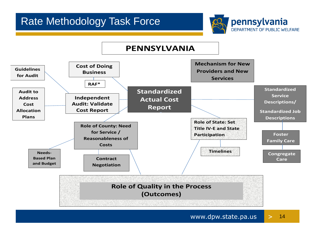#### Rate Methodology Task Force



#### **PENNSYLVANIA**

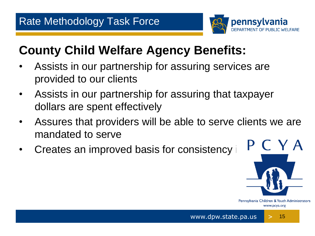

#### **County Child Welfare Agency Benefits:**

- Assists in our partnership for assuring services are provided to our clients
- Assists in our partnership for assuring that taxpayer dollars are spent effectively
- Assures that providers will be able to serve clients we are mandated to serve
- Creates an improved basis for consistency in



Pennsylvania Children & Youth Administrators www.pcya.org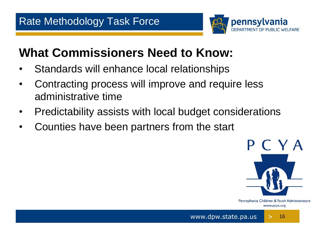

#### **What Commissioners Need to Know:**

- • Standards will enhance local relationships
- • Contracting process will improve and require less administrative time
- Predictability assists with local budget considerations
- Counties have been partners from the start



Pennsylvania Children & Youth Administrators www.pcya.org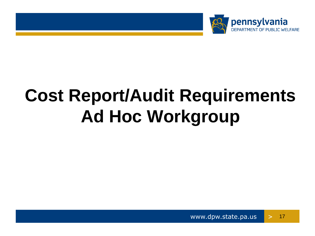

# **Cost Report/Audit Requirements Ad Hoc Workgroup**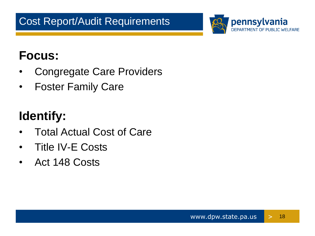

#### **Focus:**

- Congregate Care Providers
- Foster Family Care

## **Identify:**

- Total Actual Cost of Care
- Title IV-E Costs
- Act 148 Costs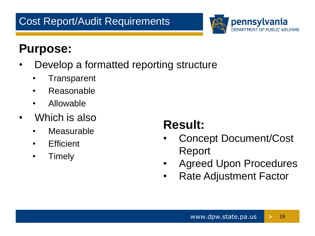#### Cost Report/Audit Requirements



#### **Purpose:**

- Develop a formatted reporting structure
	- Transparent
	- Reasonable
	- Allowable
- Which is also **Result:** 
	- Measurable
	-
	-

- **Efficient** Concept Document/Cost • Timely Report
	- Agreed Upon Procedures
	- Rate Adjustment Factor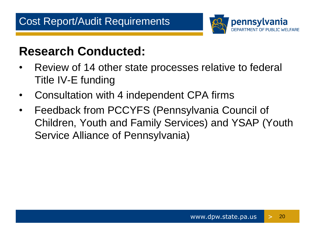

#### **Research Conducted:**

- • Review of 14 other state processes relative to federal Title IV-E funding
- Consultation with 4 independent CPA firms
- • Feedback from PCCYFS (Pennsylvania Council of Children, Youth and Family Services) and YSAP (Youth Service Alliance of Pennsylvania)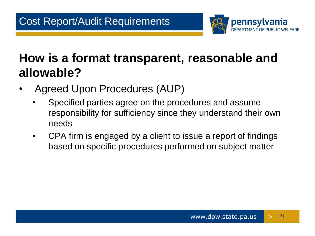

#### **How is a format transparent, reasonable and allowable?**

- Agreed Upon Procedures (AUP)
	- Specified parties agree on the procedures and assume responsibility for sufficiency since they understand their own needs
	- CPA firm is engaged by a client to issue a report of findings based on specific procedures performed on subject matter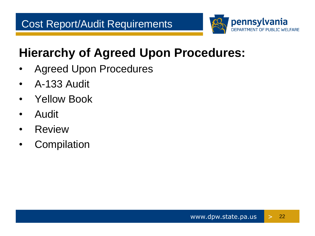

#### **Hierarchy of Agreed Upon Procedures:**

- Agreed Upon Procedures
- A-133 Audit
- Yellow Book
- Audit
- Review
- Compilation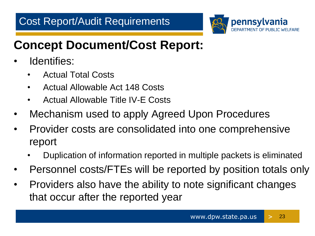

## **Concept Document/Cost Report:**

- **Identifies:** 
	- **Actual Total Costs**
	- Actual Allowable Act 148 Costs
	- Actual Allowable Title IV-E Costs
- Mechanism used to apply Agreed Upon Procedures
- Provider costs are consolidated into one comprehensive report
	- Duplication of information reported in multiple packets is eliminated
- Personnel costs/FTEs will be reported by position totals only
- • Providers also have the ability to note significant changes that occur after the reported year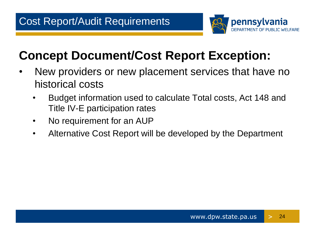

#### **Concept Document/Cost Report Exception:**

- historical costs New providers or new placement services that have no
	- Budget information used to calculate Total costs, Act 148 and Title IV-E participation rates
	- No requirement for an AUP
	- Alternative Cost Report will be developed by the Department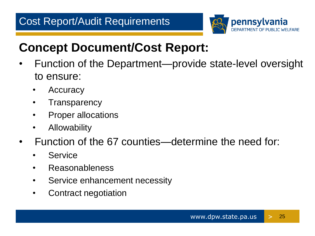

#### **Concept Document/Cost Report:**

- • Function of the Department—provide state-level oversight to ensure:
	- **Accuracy**
	- Transparency
	- • Proper allocations
	- Allowability
- Function of the 67 counties—determine the need for:
	- **Service**
	- **Reasonableness**
	- Service enhancement necessity
	- Contract negotiation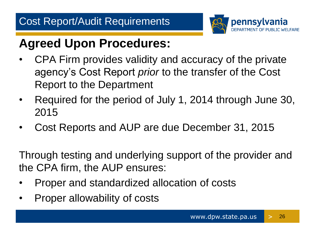

#### **Agreed Upon Procedures:**

- CPA Firm provides validity and accuracy of the private agency's Cost Report *prior* to the transfer of the Cost Report to the Department
- Required for the period of July 1, 2014 through June 30, 2015
- Cost Reports and AUP are due December 31, 2015

Through testing and underlying support of the provider and the CPA firm, the AUP ensures:

- Proper and standardized allocation of costs
- Proper allowability of costs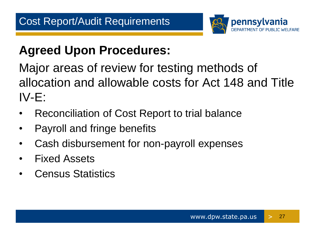

## **Agreed Upon Procedures:**

Major areas of review for testing methods of allocation and allowable costs for Act 148 and Title IV-E:

- Reconciliation of Cost Report to trial balance
- Payroll and fringe benefits
- Cash disbursement for non-payroll expenses
- Fixed Assets
- Census Statistics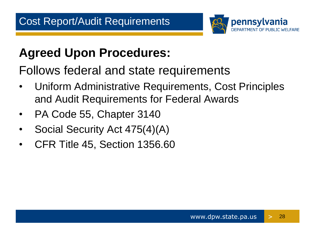

#### **Agreed Upon Procedures:**

Follows federal and state requirements

- Uniform Administrative Requirements, Cost Principles and Audit Requirements for Federal Awards
- PA Code 55, Chapter 3140
- Social Security Act 475(4)(A)
- **CFR Title 45, Section 1356.60**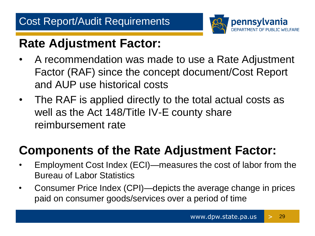

#### **Rate Adjustment Factor:**

- and AUP use historical costs • A recommendation was made to use a Rate Adjustment Factor (RAF) since the concept document/Cost Report
- The RAF is applied directly to the total actual costs as well as the Act 148/Title IV-E county share reimbursement rate

#### **Components of the Rate Adjustment Factor:**

- Employment Cost Index (ECI)—measures the cost of labor from the Bureau of Labor Statistics
- Consumer Price Index (CPI)—depicts the average change in prices paid on consumer goods/services over a period of time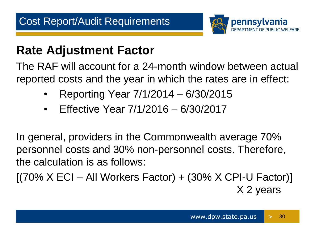

#### **Rate Adjustment Factor**

The RAF will account for a 24-month window between actual reported costs and the year in which the rates are in effect:

- Reporting Year 7/1/2014 6/30/2015
- Effective Year 7/1/2016 6/30/2017

In general, providers in the Commonwealth average 70% personnel costs and 30% non-personnel costs. Therefore, the calculation is as follows:

[(70% X ECI – All Workers Factor) + (30% X CPI-U Factor)] X 2 years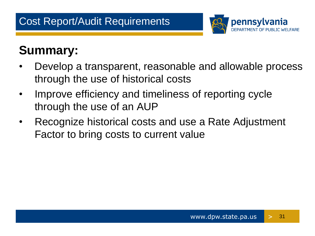

## **Summary:**

- Develop a transparent, reasonable and allowable process through the use of historical costs
- Improve efficiency and timeliness of reporting cycle through the use of an AUP
- • Recognize historical costs and use a Rate Adjustment Factor to bring costs to current value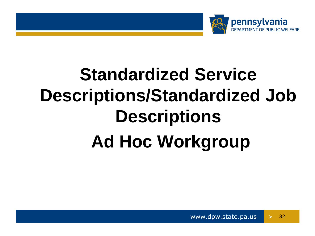

# **Standardized Service Descriptions/Standardized Job Descriptions Ad Hoc Workgroup**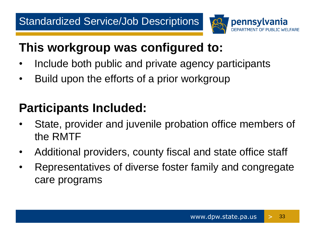

#### **This workgroup was configured to:**

- Include both public and private agency participants
- Build upon the efforts of a prior workgroup

#### **Participants Included:**

- State, provider and juvenile probation office members of the RMTF
- Additional providers, county fiscal and state office staff
- Representatives of diverse foster family and congregate care programs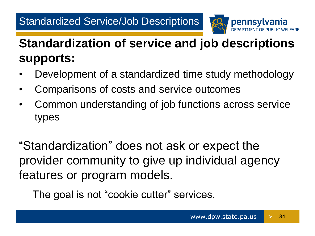

## **Standardization of service and job descriptions supports:**

- Development of a standardized time study methodology
- Comparisons of costs and service outcomes
- Common understanding of job functions across service types

 provider community to give up individual agency "Standardization" does not ask or expect the features or program models.

The goal is not "cookie cutter" services.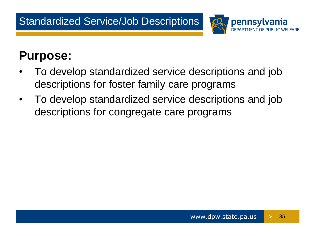

## **Purpose:**

- To develop standardized service descriptions and job descriptions for foster family care programs
- To develop standardized service descriptions and job descriptions for congregate care programs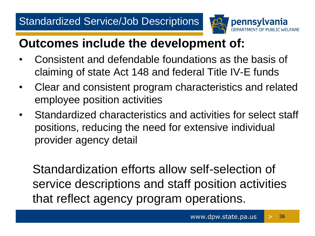

#### **Outcomes include the development of:**

- • Consistent and defendable foundations as the basis of claiming of state Act 148 and federal Title IV-E funds
- • Clear and consistent program characteristics and related employee position activities
- • Standardized characteristics and activities for select staff positions, reducing the need for extensive individual provider agency detail

 Standardization efforts allow self-selection of service descriptions and staff position activities that reflect agency program operations.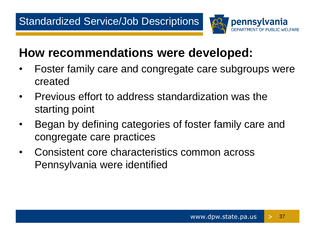

#### **How recommendations were developed:**

- Foster family care and congregate care subgroups were created
- • Previous effort to address standardization was the starting point
- Began by defining categories of foster family care and congregate care practices
- Consistent core characteristics common across Pennsylvania were identified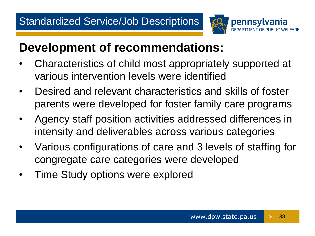

#### **Development of recommendations:**

- Characteristics of child most appropriately supported at various intervention levels were identified
- Desired and relevant characteristics and skills of foster parents were developed for foster family care programs
- Agency staff position activities addressed differences in intensity and deliverables across various categories
- Various configurations of care and 3 levels of staffing for congregate care categories were developed
- Time Study options were explored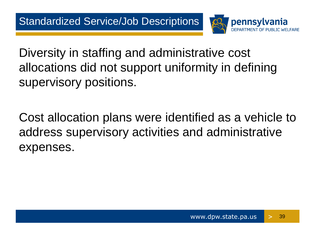

Diversity in staffing and administrative cost allocations did not support uniformity in defining supervisory positions.

Cost allocation plans were identified as a vehicle to address supervisory activities and administrative expenses.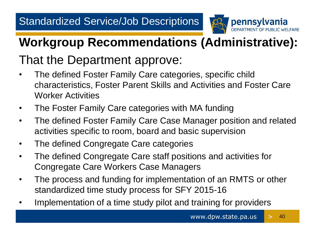

## **Workgroup Recommendations (Administrative):**

#### That the Department approve:

- Worker Activities The defined Foster Family Care categories, specific child characteristics, Foster Parent Skills and Activities and Foster Care
- • The Foster Family Care categories with MA funding
- The defined Foster Family Care Case Manager position and related activities specific to room, board and basic supervision
- The defined Congregate Care categories
- • The defined Congregate Care staff positions and activities for Congregate Care Workers Case Managers
- standardized time study process for SFY 2015-16 • The process and funding for implementation of an RMTS or other
- Implementation of a time study pilot and training for providers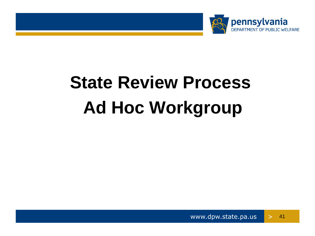

# **Ad Hoc Workgroup State Review Process**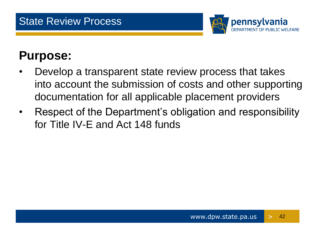

#### **Purpose:**

- Develop a transparent state review process that takes into account the submission of costs and other supporting documentation for all applicable placement providers
- Respect of the Department's obligation and responsibility for Title IV-E and Act 148 funds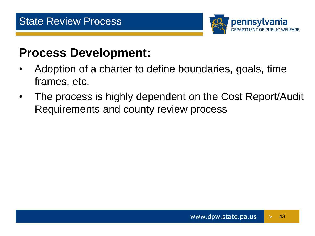

#### **Process Development:**

- Adoption of a charter to define boundaries, goals, time frames, etc.
- The process is highly dependent on the Cost Report/Audit Requirements and county review process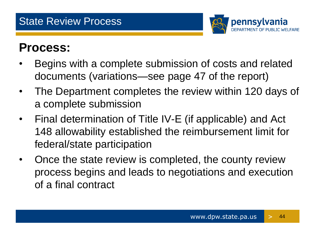

#### **Process:**

- Begins with a complete submission of costs and related documents (variations—see page 47 of the report)
- The Department completes the review within 120 days of a complete submission
- • Final determination of Title IV-E (if applicable) and Act 148 allowability established the reimbursement limit for federal/state participation
- Once the state review is completed, the county review process begins and leads to negotiations and execution of a final contract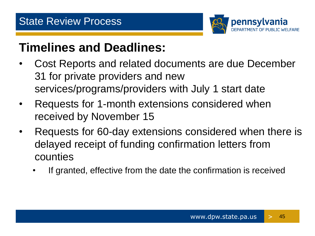

#### **Timelines and Deadlines:**

- 31 for private providers and new services/programs/providers with July 1 start date Cost Reports and related documents are due December
- Requests for 1-month extensions considered when received by November 15
- • Requests for 60-day extensions considered when there is delayed receipt of funding confirmation letters from counties
	- If granted, effective from the date the confirmation is received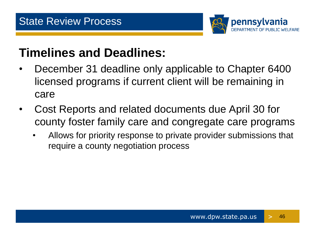

#### **Timelines and Deadlines:**

- December 31 deadline only applicable to Chapter 6400 licensed programs if current client will be remaining in care
- Cost Reports and related documents due April 30 for county foster family care and congregate care programs
	- • Allows for priority response to private provider submissions that require a county negotiation process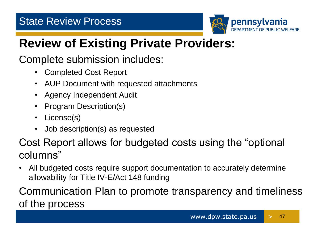

#### **Review of Existing Private Providers:**

#### Complete submission includes:

- • Completed Cost Report
- • AUP Document with requested attachments
- Agency Independent Audit
- Program Description(s)
- License(s)
- Job description(s) as requested

#### Cost Report allows for budgeted costs using the "optional columns"

 allowability for Title IV-E/Act 148 funding • All budgeted costs require support documentation to accurately determine

Communication Plan to promote transparency and timeliness of the process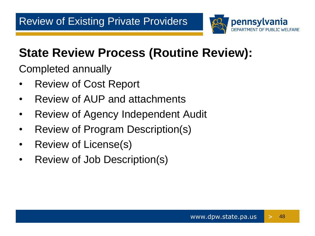

#### **State Review Process (Routine Review):**

Completed annually

- Review of Cost Report
- Review of AUP and attachments
- Review of Agency Independent Audit
- Review of Program Description(s)
- Review of License(s)
- Review of Job Description(s)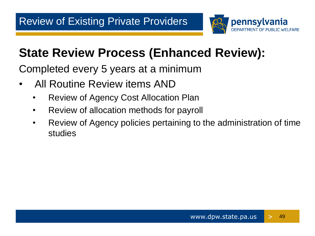

#### **State Review Process (Enhanced Review):**

Completed every 5 years at a minimum

- All Routine Review items AND
	- **Review of Agency Cost Allocation Plan**
	- • Review of allocation methods for payroll
	- Review of Agency policies pertaining to the administration of time studies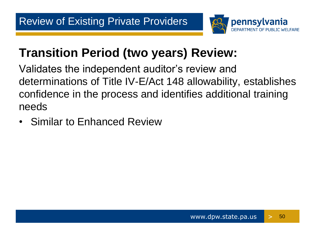

#### **Transition Period (two years) Review:**

Validates the independent auditor's review and determinations of Title IV-E/Act 148 allowability, establishes confidence in the process and identifies additional training needs

• Similar to Enhanced Review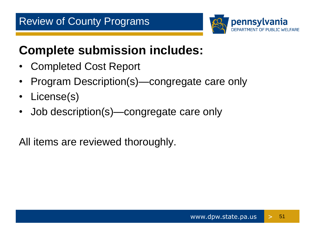

#### **Complete submission includes:**

- Completed Cost Report
- Program Description(s)—congregate care only
- License(s)
- Job description(s)—congregate care only

All items are reviewed thoroughly.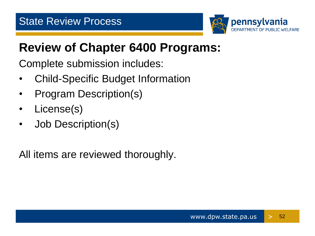

#### **Review of Chapter 6400 Programs:**

Complete submission includes:

- Child-Specific Budget Information
- Program Description(s)
- License(s)
- Job Description(s)

All items are reviewed thoroughly.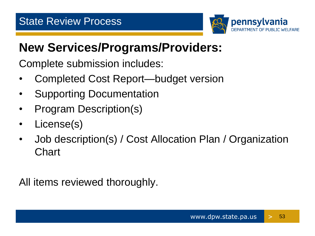

#### **New Services/Programs/Providers:**

Complete submission includes:

- Completed Cost Report—budget version
- • Supporting Documentation
- Program Description(s)
- License(s)
- Job description(s) / Cost Allocation Plan / Organization **Chart**

All items reviewed thoroughly.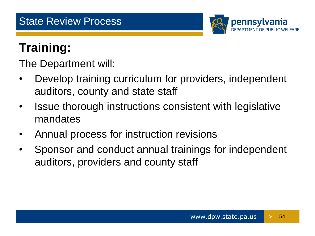

## **Training:**

The Department will:

- Develop training curriculum for providers, independent auditors, county and state staff
- Issue thorough instructions consistent with legislative mandates
- Annual process for instruction revisions
- Sponsor and conduct annual trainings for independent auditors, providers and county staff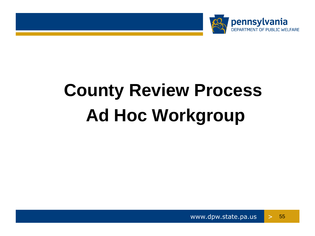

# **Ad Hoc Workgroup County Review Process**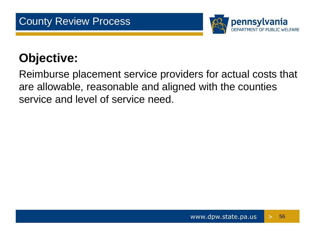

## **Objective:**

Reimburse placement service providers for actual costs that are allowable, reasonable and aligned with the counties service and level of service need.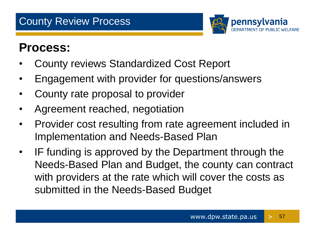

#### **Process:**

- County reviews Standardized Cost Report
- Engagement with provider for questions/answers
- County rate proposal to provider
- Agreement reached, negotiation
- • Provider cost resulting from rate agreement included in Implementation and Needs-Based Plan
- with providers at the rate which will cover the costs as submitted in the Needs-Based Budget IF funding is approved by the Department through the Needs-Based Plan and Budget, the county can contract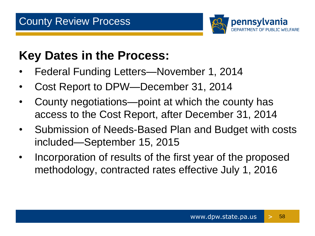

#### **Key Dates in the Process:**

- Federal Funding Letters—November 1, 2014
- Cost Report to DPW—December 31, 2014
- County negotiations—point at which the county has access to the Cost Report, after December 31, 2014
- Submission of Needs-Based Plan and Budget with costs included—September 15, 2015
- Incorporation of results of the first year of the proposed methodology, contracted rates effective July 1, 2016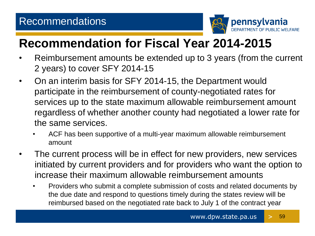

#### **Recommendation for Fiscal Year 2014-2015**

- 2 years) to cover SFY 2014-15 Reimbursement amounts be extended up to 3 years (from the current
- regardless of whether another county had negotiated a lower rate for • On an interim basis for SFY 2014-15, the Department would participate in the reimbursement of county-negotiated rates for services up to the state maximum allowable reimbursement amount the same services.
	- ACF has been supportive of a multi-year maximum allowable reimbursement amount
- The current process will be in effect for new providers, new services initiated by current providers and for providers who want the option to increase their maximum allowable reimbursement amounts
	- • Providers who submit a complete submission of costs and related documents by the due date and respond to questions timely during the states review will be reimbursed based on the negotiated rate back to July 1 of the contract year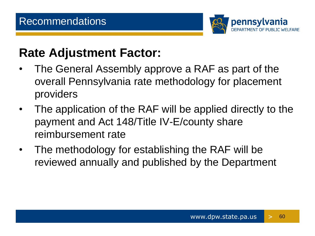

#### **Rate Adjustment Factor:**

- The General Assembly approve a RAF as part of the overall Pennsylvania rate methodology for placement providers
- The application of the RAF will be applied directly to the payment and Act 148/Title IV-E/county share reimbursement rate
- The methodology for establishing the RAF will be reviewed annually and published by the Department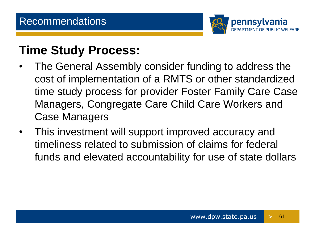

#### **Time Study Process:**

- The General Assembly consider funding to address the cost of implementation of a RMTS or other standardized time study process for provider Foster Family Care Case Managers, Congregate Care Child Care Workers and Case Managers
- This investment will support improved accuracy and timeliness related to submission of claims for federal funds and elevated accountability for use of state dollars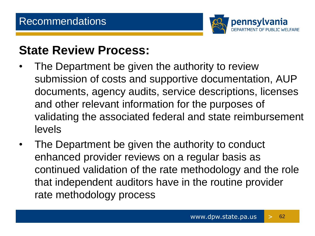

#### **State Review Process:**

- The Department be given the authority to review submission of costs and supportive documentation, AUP documents, agency audits, service descriptions, licenses and other relevant information for the purposes of validating the associated federal and state reimbursement levels
- continued validation of the rate methodology and the role • The Department be given the authority to conduct enhanced provider reviews on a regular basis as that independent auditors have in the routine provider rate methodology process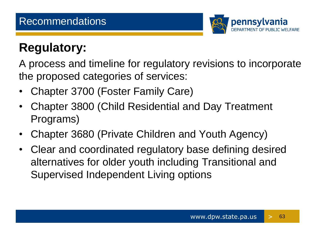

## **Regulatory:**

A process and timeline for regulatory revisions to incorporate the proposed categories of services:

- Chapter 3700 (Foster Family Care)
- • Chapter 3800 (Child Residential and Day Treatment Programs)
- Chapter 3680 (Private Children and Youth Agency)
- • Clear and coordinated regulatory base defining desired alternatives for older youth including Transitional and Supervised Independent Living options